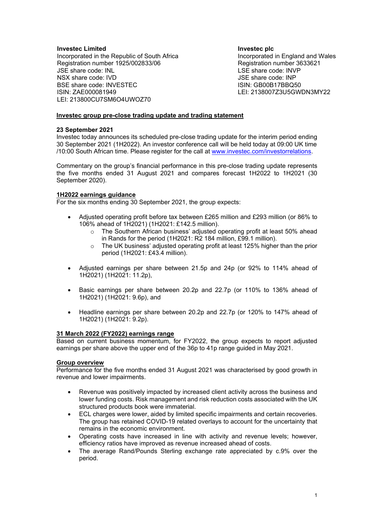### **Investec Limited**

Incorporated in the Republic of South Africa Registration number 1925/002833/06 JSE share code: INL NSX share code: IVD BSE share code: INVESTEC ISIN: ZAE000081949 LEI: 213800CU7SM6O4UWOZ70

**Investec plc** Incorporated in England and Wales Registration number 3633621 LSE share code: INVP JSE share code: INP ISIN: GB00B17BBQ50 LEI: 2138007Z3U5GWDN3MY22

# **Investec group pre-close trading update and trading statement**

#### **23 September 2021**

Investec today announces its scheduled pre-close trading update for the interim period ending 30 September 2021 (1H2022). An investor conference call will be held today at 09:00 UK time /10:00 South African time. Please register for the call at [www.investec.com/investorrelations.](http://www.investec.com/investorrelations)

Commentary on the group's financial performance in this pre-close trading update represents the five months ended 31 August 2021 and compares forecast 1H2022 to 1H2021 (30 September 2020).

#### **1H2022 earnings guidance**

For the six months ending 30 September 2021, the group expects:

- Adjusted operating profit before tax between £265 million and £293 million (or 86% to 106% ahead of 1H2021) (1H2021: £142.5 million).
	- $\circ$  The Southern African business' adjusted operating profit at least 50% ahead in Rands for the period (1H2021: R2 184 million, £99.1 million).
	- o The UK business' adjusted operating profit at least 125% higher than the prior period (1H2021: £43.4 million).
- Adjusted earnings per share between 21.5p and 24p (or 92% to 114% ahead of 1H2021) (1H2021: 11.2p),
- Basic earnings per share between 20.2p and 22.7p (or 110% to 136% ahead of 1H2021) (1H2021: 9.6p), and
- Headline earnings per share between 20.2p and 22.7p (or 120% to 147% ahead of 1H2021) (1H2021: 9.2p).

# **31 March 2022 (FY2022) earnings range**

Based on current business momentum, for FY2022, the group expects to report adjusted earnings per share above the upper end of the 36p to 41p range guided in May 2021.

#### **Group overview**

Performance for the five months ended 31 August 2021 was characterised by good growth in revenue and lower impairments.

- Revenue was positively impacted by increased client activity across the business and lower funding costs. Risk management and risk reduction costs associated with the UK structured products book were immaterial.
- ECL charges were lower, aided by limited specific impairments and certain recoveries. The group has retained COVID-19 related overlays to account for the uncertainty that remains in the economic environment.
- Operating costs have increased in line with activity and revenue levels; however, efficiency ratios have improved as revenue increased ahead of costs.
- The average Rand/Pounds Sterling exchange rate appreciated by c.9% over the period.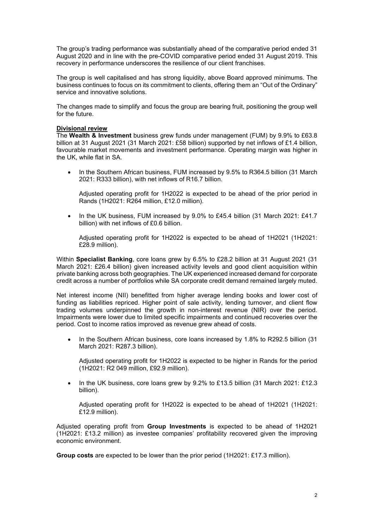The group's trading performance was substantially ahead of the comparative period ended 31 August 2020 and in line with the pre-COVID comparative period ended 31 August 2019. This recovery in performance underscores the resilience of our client franchises.

The group is well capitalised and has strong liquidity, above Board approved minimums. The business continues to focus on its commitment to clients, offering them an "Out of the Ordinary" service and innovative solutions.

The changes made to simplify and focus the group are bearing fruit, positioning the group well for the future.

#### **Divisional review**

The **Wealth & Investment** business grew funds under management (FUM) by 9.9% to £63.8 billion at 31 August 2021 (31 March 2021: £58 billion) supported by net inflows of £1.4 billion, favourable market movements and investment performance. Operating margin was higher in the UK, while flat in SA.

• In the Southern African business, FUM increased by 9.5% to R364.5 billion (31 March 2021: R333 billion), with net inflows of R16.7 billion.

Adjusted operating profit for 1H2022 is expected to be ahead of the prior period in Rands (1H2021: R264 million, £12.0 million).

• In the UK business, FUM increased by 9.0% to £45.4 billion (31 March 2021: £41.7 billion) with net inflows of £0.6 billion.

Adjusted operating profit for 1H2022 is expected to be ahead of 1H2021 (1H2021: £28.9 million).

Within **Specialist Banking**, core loans grew by 6.5% to £28.2 billion at 31 August 2021 (31 March 2021: £26.4 billion) given increased activity levels and good client acquisition within private banking across both geographies. The UK experienced increased demand for corporate credit across a number of portfolios while SA corporate credit demand remained largely muted.

Net interest income (NII) benefitted from higher average lending books and lower cost of funding as liabilities repriced. Higher point of sale activity, lending turnover, and client flow trading volumes underpinned the growth in non-interest revenue (NIR) over the period. Impairments were lower due to limited specific impairments and continued recoveries over the period. Cost to income ratios improved as revenue grew ahead of costs.

• In the Southern African business, core loans increased by 1.8% to R292.5 billion (31 March 2021: R287.3 billion).

Adjusted operating profit for 1H2022 is expected to be higher in Rands for the period (1H2021: R2 049 million, £92.9 million).

• In the UK business, core loans grew by 9.2% to £13.5 billion (31 March 2021: £12.3 billion).

Adjusted operating profit for 1H2022 is expected to be ahead of 1H2021 (1H2021: £12.9 million).

Adjusted operating profit from **Group Investments** is expected to be ahead of 1H2021 (1H2021: £13.2 million) as investee companies' profitability recovered given the improving economic environment.

**Group costs** are expected to be lower than the prior period (1H2021: £17.3 million).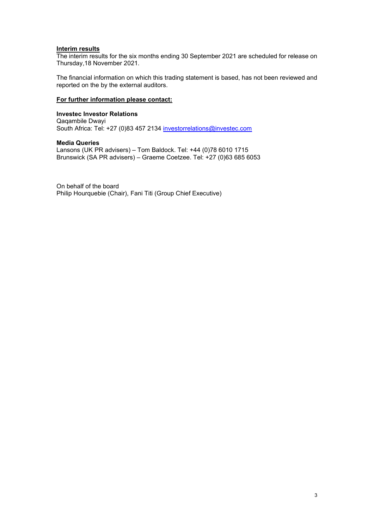# **Interim results**

The interim results for the six months ending 30 September 2021 are scheduled for release on Thursday,18 November 2021.

The financial information on which this trading statement is based, has not been reviewed and reported on the by the external auditors.

## **For further information please contact:**

**Investec Investor Relations** Qaqambile Dwayi South Africa: Tel: +27 (0)83 457 2134 [investorrelations@investec.com](mailto:investorrelations@investec.com)

**Media Queries** Lansons (UK PR advisers) – Tom Baldock. Tel: +44 (0)78 6010 1715 Brunswick (SA PR advisers) – Graeme Coetzee. Tel: +27 (0)63 685 6053

On behalf of the board Philip Hourquebie (Chair), Fani Titi (Group Chief Executive)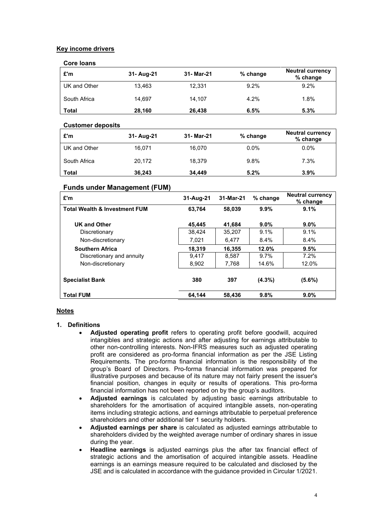# **Key income drivers**

# **Core loans**

| £'m          | 31- Aug-21 | 31- Mar-21 | % change | <b>Neutral currency</b><br>% change |
|--------------|------------|------------|----------|-------------------------------------|
| UK and Other | 13.463     | 12.331     | 9.2%     | 9.2%                                |
| South Africa | 14.697     | 14.107     | 4.2%     | 1.8%                                |
| <b>Total</b> | 28,160     | 26,438     | 6.5%     | 5.3%                                |

## **Customer deposits**

| £'m          | 31- Aug-21 | 31- Mar-21 | $%$ change | <b>Neutral currency</b><br>% change |
|--------------|------------|------------|------------|-------------------------------------|
| UK and Other | 16.071     | 16.070     | $0.0\%$    | $0.0\%$                             |
| South Africa | 20.172     | 18.379     | 9.8%       | 7.3%                                |
| Total        | 36.243     | 34,449     | 5.2%       | 3.9%                                |

# **Funds under Management (FUM)**

| £'m                                      | 31-Aug-21 | 31-Mar-21 | $%$ change | <b>Neutral currency</b><br>% change |  |
|------------------------------------------|-----------|-----------|------------|-------------------------------------|--|
| <b>Total Wealth &amp; Investment FUM</b> | 63.764    | 58.039    | 9.9%       | 9.1%                                |  |
| <b>UK and Other</b>                      | 45.445    | 41.684    | $9.0\%$    | $9.0\%$                             |  |
| Discretionary                            | 38.424    | 35,207    | 9.1%       | 9.1%                                |  |
| Non-discretionary                        | 7.021     | 6.477     | 8.4%       | 8.4%                                |  |
| <b>Southern Africa</b>                   | 18,319    | 16.355    | 12.0%      | 9.5%                                |  |
| Discretionary and annuity                | 9.417     | 8.587     | $9.7\%$    | 7.2%                                |  |
| Non-discretionary                        | 8,902     | 7,768     | 14.6%      | 12.0%                               |  |
|                                          |           |           |            |                                     |  |
| <b>Specialist Bank</b>                   | 380       | 397       | $(4.3\%)$  | (5.6%)                              |  |
| <b>Total FUM</b>                         | 64,144    | 58.436    | 9.8%       | $9.0\%$                             |  |

# **Notes**

# **1. Definitions**

- **Adjusted operating profit** refers to operating profit before goodwill, acquired intangibles and strategic actions and after adjusting for earnings attributable to other non-controlling interests. Non-IFRS measures such as adjusted operating profit are considered as pro-forma financial information as per the JSE Listing Requirements. The pro-forma financial information is the responsibility of the group's Board of Directors. Pro-forma financial information was prepared for illustrative purposes and because of its nature may not fairly present the issuer's financial position, changes in equity or results of operations. This pro-forma financial information has not been reported on by the group's auditors.
- **Adjusted earnings** is calculated by adjusting basic earnings attributable to shareholders for the amortisation of acquired intangible assets, non-operating items including strategic actions, and earnings attributable to perpetual preference shareholders and other additional tier 1 security holders.
- **Adjusted earnings per share** is calculated as adjusted earnings attributable to shareholders divided by the weighted average number of ordinary shares in issue during the year.
- **Headline earnings** is adjusted earnings plus the after tax financial effect of strategic actions and the amortisation of acquired intangible assets. Headline earnings is an earnings measure required to be calculated and disclosed by the JSE and is calculated in accordance with the guidance provided in Circular 1/2021.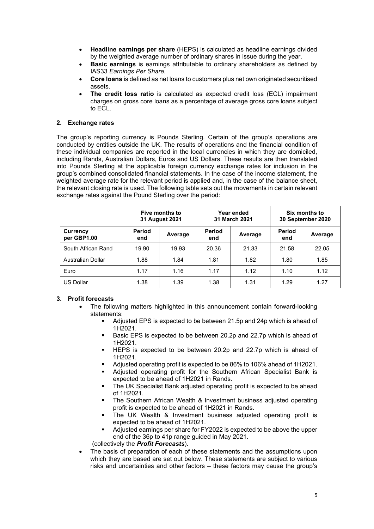- **Headline earnings per share** (HEPS) is calculated as headline earnings divided by the weighted average number of ordinary shares in issue during the year.
- **Basic earnings** is earnings attributable to ordinary shareholders as defined by IAS33 *Earnings Per Share.*
- **Core loans** is defined as net loans to customers plus net own originated securitised assets.
- **The credit loss ratio** is calculated as expected credit loss (ECL) impairment charges on gross core loans as a percentage of average gross core loans subject to ECL.

# **2. Exchange rates**

The group's reporting currency is Pounds Sterling. Certain of the group's operations are conducted by entities outside the UK. The results of operations and the financial condition of these individual companies are reported in the local currencies in which they are domiciled, including Rands, Australian Dollars, Euros and US Dollars. These results are then translated into Pounds Sterling at the applicable foreign currency exchange rates for inclusion in the group's combined consolidated financial statements. In the case of the income statement, the weighted average rate for the relevant period is applied and, in the case of the balance sheet, the relevant closing rate is used. The following table sets out the movements in certain relevant exchange rates against the Pound Sterling over the period:

|                          | Five months to<br>31 August 2021 |         | Year ended<br>31 March 2021 |         | Six months to<br>30 September 2020 |         |
|--------------------------|----------------------------------|---------|-----------------------------|---------|------------------------------------|---------|
| Currency<br>per GBP1.00  | Period<br>end                    | Average | <b>Period</b><br>end        | Average | Period<br>end                      | Average |
| South African Rand       | 19.90                            | 19.93   | 20.36                       | 21.33   | 21.58                              | 22.05   |
| <b>Australian Dollar</b> | 1.88                             | 1.84    | 1.81                        | 1.82    | 1.80                               | 1.85    |
| Euro                     | 1.17                             | 1.16    | 1.17                        | 1.12    | 1.10                               | 1.12    |
| <b>US Dollar</b>         | 1.38                             | 1.39    | 1.38                        | 1.31    | 1.29                               | 1.27    |

#### **3. Profit forecasts**

- The following matters highlighted in this announcement contain forward-looking statements:
	- Adjusted EPS is expected to be between 21.5p and 24p which is ahead of 1H2021.
	- Basic EPS is expected to be between 20.2p and 22.7p which is ahead of 1H2021.
	- **HEPS** is expected to be between 20.2p and 22.7p which is ahead of 1H2021.
	- Adjusted operating profit is expected to be 86% to 106% ahead of 1H2021.
	- Adjusted operating profit for the Southern African Specialist Bank is expected to be ahead of 1H2021 in Rands.
	- The UK Specialist Bank adjusted operating profit is expected to be ahead of 1H2021.
	- The Southern African Wealth & Investment business adjusted operating profit is expected to be ahead of 1H2021 in Rands.
	- The UK Wealth & Investment business adjusted operating profit is expected to be ahead of 1H2021.
	- Adjusted earnings per share for FY2022 is expected to be above the upper end of the 36p to 41p range guided in May 2021.

(collectively the *Profit Forecasts*).

• The basis of preparation of each of these statements and the assumptions upon which they are based are set out below. These statements are subject to various risks and uncertainties and other factors – these factors may cause the group's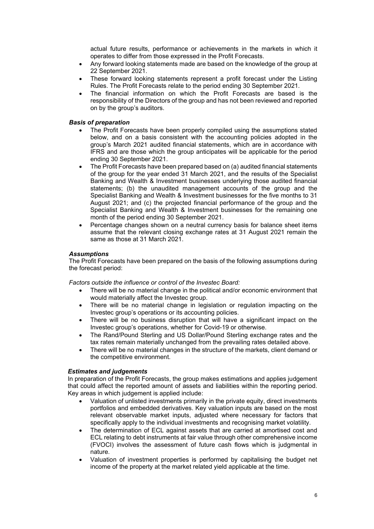actual future results, performance or achievements in the markets in which it operates to differ from those expressed in the Profit Forecasts.

- Any forward looking statements made are based on the knowledge of the group at 22 September 2021.
- These forward looking statements represent a profit forecast under the Listing Rules. The Profit Forecasts relate to the period ending 30 September 2021.
- The financial information on which the Profit Forecasts are based is the responsibility of the Directors of the group and has not been reviewed and reported on by the group's auditors.

### *Basis of preparation*

- The Profit Forecasts have been properly compiled using the assumptions stated below, and on a basis consistent with the accounting policies adopted in the group's March 2021 audited financial statements, which are in accordance with IFRS and are those which the group anticipates will be applicable for the period ending 30 September 2021.
- The Profit Forecasts have been prepared based on (a) audited financial statements of the group for the year ended 31 March 2021, and the results of the Specialist Banking and Wealth & Investment businesses underlying those audited financial statements; (b) the unaudited management accounts of the group and the Specialist Banking and Wealth & Investment businesses for the five months to 31 August 2021; and (c) the projected financial performance of the group and the Specialist Banking and Wealth & Investment businesses for the remaining one month of the period ending 30 September 2021.
- Percentage changes shown on a neutral currency basis for balance sheet items assume that the relevant closing exchange rates at 31 August 2021 remain the same as those at 31 March 2021.

#### *Assumptions*

The Profit Forecasts have been prepared on the basis of the following assumptions during the forecast period:

*Factors outside the influence or control of the Investec Board:*

- There will be no material change in the political and/or economic environment that would materially affect the Investec group.
- There will be no material change in legislation or regulation impacting on the Investec group's operations or its accounting policies.
- There will be no business disruption that will have a significant impact on the Investec group's operations, whether for Covid-19 or otherwise.
- The Rand/Pound Sterling and US Dollar/Pound Sterling exchange rates and the tax rates remain materially unchanged from the prevailing rates detailed above.
- There will be no material changes in the structure of the markets, client demand or the competitive environment.

#### *Estimates and judgements*

In preparation of the Profit Forecasts, the group makes estimations and applies judgement that could affect the reported amount of assets and liabilities within the reporting period. Key areas in which judgement is applied include:

- Valuation of unlisted investments primarily in the private equity, direct investments portfolios and embedded derivatives. Key valuation inputs are based on the most relevant observable market inputs, adjusted where necessary for factors that specifically apply to the individual investments and recognising market volatility.
- The determination of ECL against assets that are carried at amortised cost and ECL relating to debt instruments at fair value through other comprehensive income (FVOCI) involves the assessment of future cash flows which is judgmental in nature.
- Valuation of investment properties is performed by capitalising the budget net income of the property at the market related yield applicable at the time.